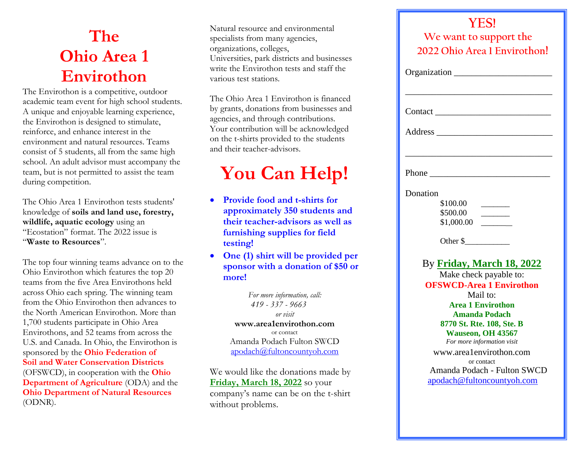## **The Ohio Area 1 Envirothon**

The Envirothon is a competitive, outdoor academic team event for high school students. A unique and enjoyable learning experience, the Envirothon is designed to stimulate, reinforce, and enhance interest in the environment and natural resources. Teams consist of 5 students, all from the same high school. An adult advisor must accompany the team, but is not permitted to assist the team during competition.

The Ohio Area 1 Envirothon tests students' knowledge of **soils and land use, forestry, wildlife, aquatic ecology** using an "Ecostation" format. The 2022 issue is "**Waste to Resources**".

The top four winning teams advance on to the Ohio Envirothon which features the top 20 teams from the five Area Envirothons held across Ohio each spring. The winning team from the Ohio Envirothon then advances to the North American Envirothon. More than 1,700 students participate in Ohio Area Envirothons, and 52 teams from across the U.S. and Canada. In Ohio, the Envirothon is sponsored by the **Ohio Federation of Soil and Water Conservation Districts** (OFSWCD), in cooperation with the **Ohio Department of Agriculture** *(ODA)* and the **Ohio Department of Natural Resources** (ODNR).

Natural resource and environmental specialists from many agencies, organizations, colleges, Universities, park districts and businesses write the Envirothon tests and staff the various test stations.

The Ohio Area 1 Envirothon is financed by grants, donations from businesses and agencies, and through contributions. Your contribution will be acknowledged on the t-shirts provided to the students and their teacher-advisors.

## **You Can Help!**

- **Provide food and t-shirts for approximately 350 students and their teacher-advisors as well as furnishing supplies for field testing!**
- **One (1) shirt will be provided per sponsor with a donation of \$50 or more!**

*For more information, call: 419 - 337 - 9663 or visit* **www.area1envirothon.com** or contact Amanda Podach Fulton SWCD [apodach@fultoncountyoh.com](mailto:apodach@fultoncountyoh.com)

Friday, March 18, 2022 so your company's name can be on the t-shirt without problems. **agencies, organizations, colleges,**  We would like the donations made by

| <b>YES!</b>                                         |
|-----------------------------------------------------|
| We want to support the                              |
| 2022 Ohio Area 1 Envirothon!                        |
| Organization                                        |
|                                                     |
|                                                     |
| Phone                                               |
| Donation                                            |
| \$100.00                                            |
| \$500.00                                            |
| \$1,000.00                                          |
| Other $\frac{1}{2}$                                 |
| By Friday, March 18, 2022<br>Make check payable to: |
| <b>OFSWCD-Area 1 Envirothon</b>                     |
| Mail to:                                            |
| <b>Area 1 Envirothon</b>                            |
| <b>Amanda Podach</b>                                |
| 8770 St. Rte. 108, Ste. B                           |
| Wauseon, OH 43567                                   |
| For more information visit                          |
| www.area1envirothon.com<br>or contact               |
| Amanda Podach - Fulton SWCD                         |
| apodach@fultoncountyoh.com                          |
|                                                     |